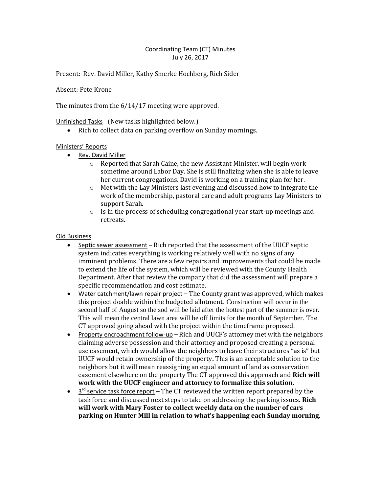## Coordinating Team (CT) Minutes July 26, 2017

Present: Rev. David Miller, Kathy Smerke Hochberg, Rich Sider

Absent: Pete Krone

The minutes from the 6/14/17 meeting were approved.

Unfinished Tasks (New tasks highlighted below.)

Rich to collect data on parking overflow on Sunday mornings.

## Ministers' Reports

- Rev. David Miller
	- $\circ$  Reported that Sarah Caine, the new Assistant Minister, will begin work sometime around Labor Day. She is still finalizing when she is able to leave her current congregations. David is working on a training plan for her.
	- $\circ$  Met with the Lay Ministers last evening and discussed how to integrate the work of the membership, pastoral care and adult programs Lay Ministers to support Sarah.
	- $\circ$  Is in the process of scheduling congregational year start-up meetings and retreats.

## Old Business

- Septic sewer assessment Rich reported that the assessment of the UUCF septic system indicates everything is working relatively well with no signs of any imminent problems. There are a few repairs and improvements that could be made to extend the life of the system, which will be reviewed with the County Health Department. After that review the company that did the assessment will prepare a specific recommendation and cost estimate.
- Water catchment/lawn repair project The County grant was approved, which makes this project doable within the budgeted allotment. Construction will occur in the second half of August so the sod will be laid after the hottest part of the summer is over. This will mean the central lawn area will be off limits for the month of September. The CT approved going ahead with the project within the timeframe proposed.
- Property encroachment follow-up Rich and UUCF's attorney met with the neighbors claiming adverse possession and their attorney and proposed creating a personal use easement, which would allow the neighbors to leave their structures "as is" but UUCF would retain ownership of the property**.** This is an acceptable solution to the neighbors but it will mean reassigning an equal amount of land as conservation easement elsewhere on the property The CT approved this approach and **Rich will work with the UUCF engineer and attorney to formalize this solution.**
- $\bullet$   $3<sup>rd</sup>$  service task force report The CT reviewed the written report prepared by the task force and discussed next steps to take on addressing the parking issues. **Rich will work with Mary Foster to collect weekly data on the number of cars parking on Hunter Mill in relation to what's happening each Sunday morning.**